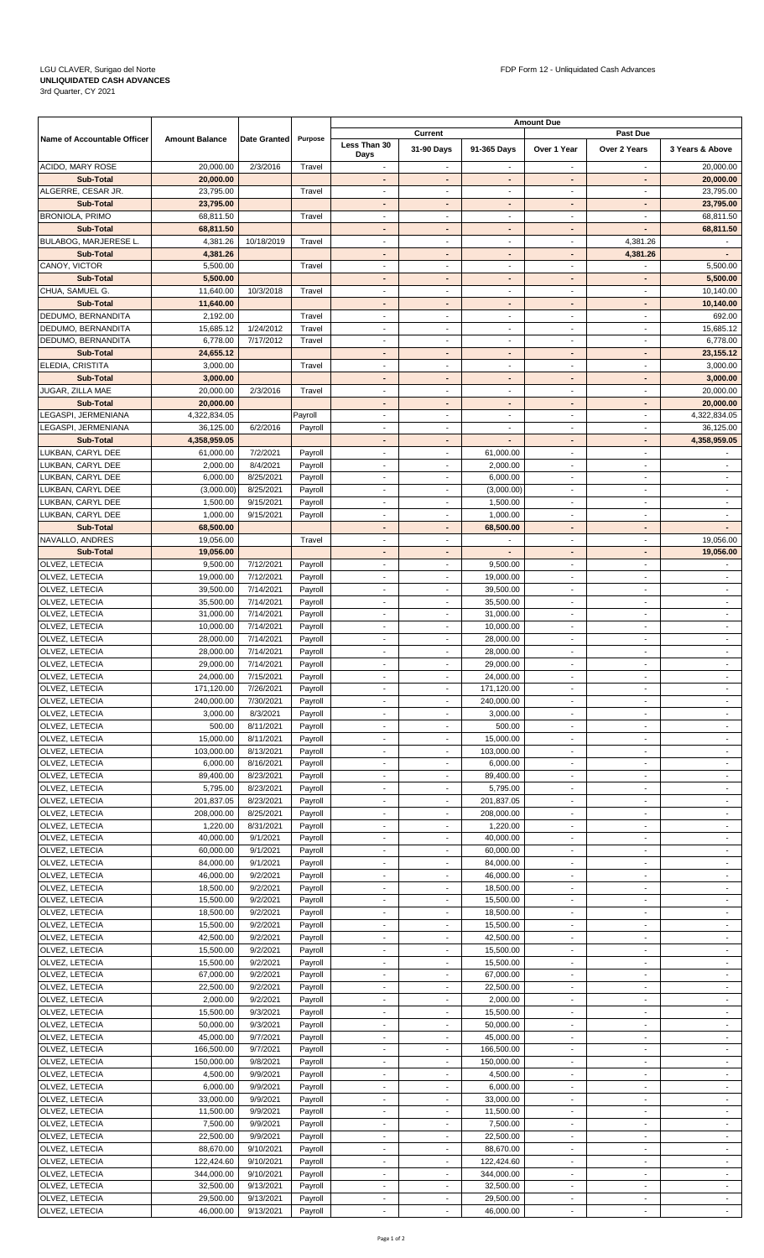## **UNLIQUIDATED CASH ADVANCES** 3rd Quarter, CY 2021

|                                                |                           |                        |                    | <b>Amount Due</b>                                    |                                                      |                                            |                                            |                                            |                                            |  |
|------------------------------------------------|---------------------------|------------------------|--------------------|------------------------------------------------------|------------------------------------------------------|--------------------------------------------|--------------------------------------------|--------------------------------------------|--------------------------------------------|--|
| Name of Accountable Officer                    | <b>Amount Balance</b>     | Date Granted           | Purpose            | Less Than 30                                         | Current                                              |                                            |                                            | <b>Past Due</b>                            |                                            |  |
|                                                |                           |                        |                    | Days                                                 | 31-90 Days                                           | 91-365 Days                                | Over 1 Year                                | Over 2 Years                               | 3 Years & Above                            |  |
| ACIDO, MARY ROSE                               | 20,000.00                 | 2/3/2016               | Travel             | $\sim$                                               | $\overline{\phantom{a}}$                             | $\overline{\phantom{a}}$                   | $\overline{\phantom{a}}$                   | $\sim$                                     | 20,000.00                                  |  |
| Sub-Total                                      | 20,000.00                 |                        |                    | $\blacksquare$                                       |                                                      | $\blacksquare$                             | $\blacksquare$                             | $\blacksquare$                             | 20,000.00                                  |  |
| ALGERRE, CESAR JR.                             | 23,795.00                 |                        | Travel             | $\overline{\phantom{a}}$                             | $\overline{\phantom{a}}$                             | $\blacksquare$                             | $\overline{\phantom{a}}$                   | $\blacksquare$                             | 23,795.00                                  |  |
| Sub-Total                                      | 23,795.00                 |                        |                    | ٠                                                    | $\overline{\phantom{a}}$                             | $\overline{\phantom{a}}$                   | ٠                                          | ٠                                          | 23,795.00                                  |  |
| <b>BRONIOLA, PRIMO</b>                         | 68,811.50                 |                        | Travel             | $\overline{\phantom{a}}$                             |                                                      | $\blacksquare$                             | $\overline{\phantom{a}}$                   | $\blacksquare$<br>$\blacksquare$           | 68,811.50                                  |  |
| Sub-Total                                      | 68,811.50                 |                        |                    | ٠                                                    |                                                      | $\blacksquare$                             | $\qquad \qquad \blacksquare$               |                                            | 68,811.50                                  |  |
| <b>BULABOG, MARJERESE L.</b><br>Sub-Total      | 4,381.26<br>4,381.26      | 10/18/2019             | Travel             | $\overline{\phantom{a}}$<br>$\blacksquare$           | $\sim$                                               | $\overline{\phantom{a}}$<br>$\blacksquare$ | $\overline{\phantom{a}}$<br>$\blacksquare$ | 4,381.26<br>4,381.26                       | $\overline{\phantom{a}}$                   |  |
| CANOY, VICTOR                                  | 5,500.00                  |                        | Travel             | $\overline{\phantom{a}}$                             | $\tilde{\phantom{a}}$                                | $\sim$                                     | $\tilde{\phantom{a}}$                      |                                            | 5,500.00                                   |  |
| Sub-Total                                      | 5,500.00                  |                        |                    | $\overline{\phantom{a}}$                             | $\overline{\phantom{a}}$                             | $\overline{\phantom{a}}$                   |                                            | $\sim$                                     | 5,500.00                                   |  |
| CHUA, SAMUEL G.                                | 11,640.00                 | 10/3/2018              | Travel             | $\blacksquare$                                       | $\sim$                                               | $\overline{\phantom{a}}$                   | $\blacksquare$                             | $\sim$                                     | 10,140.00                                  |  |
| <b>Sub-Total</b>                               | 11,640.00                 |                        |                    | ٠                                                    | $\blacksquare$                                       | $\blacksquare$                             | $\blacksquare$                             | ٠                                          | 10,140.00                                  |  |
| DEDUMO, BERNANDITA                             | 2,192.00                  |                        | Travel             | $\overline{\phantom{a}}$                             | $\overline{\phantom{a}}$                             | $\overline{\phantom{a}}$                   | $\overline{\phantom{a}}$                   | $\overline{\phantom{a}}$                   | 692.00                                     |  |
| DEDUMO, BERNANDITA                             | 15,685.12                 | 1/24/2012              | Travel             | $\blacksquare$                                       | $\sim$                                               | $\overline{\phantom{a}}$                   | $\blacksquare$                             | $\sim$                                     | 15,685.12                                  |  |
| DEDUMO, BERNANDITA                             | 6,778.00                  | 7/17/2012              | Travel             | $\blacksquare$                                       | $\overline{\phantom{a}}$                             | $\overline{\phantom{a}}$                   | $\blacksquare$                             | $\sim$                                     | 6,778.00                                   |  |
| Sub-Total                                      | 24,655.12                 |                        |                    | $\blacksquare$                                       | $\blacksquare$                                       | $\blacksquare$                             | $\blacksquare$                             | $\blacksquare$                             | 23,155.12                                  |  |
| ELEDIA, CRISTITA                               | 3,000.00                  |                        | Travel             | $\overline{\phantom{a}}$                             | $\overline{\phantom{a}}$                             | $\sim$                                     | $\overline{\phantom{a}}$                   | $\blacksquare$                             | 3,000.00                                   |  |
| Sub-Total                                      | 3,000.00                  |                        |                    | ٠                                                    | $\blacksquare$                                       | $\blacksquare$                             | $\blacksquare$                             | ٠                                          | 3,000.00                                   |  |
| JUGAR, ZILLA MAE                               | 20,000.00                 | 2/3/2016               | Travel             | $\qquad \qquad \blacksquare$                         | $\overline{\phantom{a}}$                             | $\overline{\phantom{a}}$                   | $\overline{\phantom{a}}$                   | $\overline{\phantom{a}}$                   | 20,000.00                                  |  |
| Sub-Total                                      | 20,000.00                 |                        |                    | ٠                                                    | $\blacksquare$                                       | $\overline{\phantom{a}}$                   | $\blacksquare$                             | $\blacksquare$                             | 20,000.00                                  |  |
| LEGASPI, JERMENIANA                            | 4,322,834.05              |                        | Payroll            | $\blacksquare$                                       | $\sim$                                               | $\overline{\phantom{a}}$                   | $\blacksquare$                             | $\sim$                                     | 4,322,834.05                               |  |
| LEGASPI, JERMENIANA                            | 36,125.00                 | 6/2/2016               | Payroll            | $\qquad \qquad \blacksquare$                         | $\overline{\phantom{a}}$                             | $\overline{\phantom{a}}$                   | $\overline{\phantom{a}}$                   | $\overline{\phantom{a}}$                   | 36,125.00                                  |  |
| Sub-Total<br>LUKBAN, CARYL DEE                 | 4,358,959.05<br>61,000.00 | 7/2/2021               | Payroll            | ٠<br>$\blacksquare$                                  | $\blacksquare$<br>$\overline{\phantom{a}}$           | $\overline{\phantom{a}}$<br>61,000.00      | $\blacksquare$<br>$\overline{\phantom{a}}$ | $\blacksquare$<br>$\overline{\phantom{a}}$ | 4,358,959.05                               |  |
| LUKBAN, CARYL DEE                              | 2,000.00                  | 8/4/2021               | Payroll            | $\overline{\phantom{a}}$                             | $\overline{\phantom{a}}$                             | 2,000.00                                   | $\overline{\phantom{a}}$                   | $\overline{\phantom{a}}$                   | $\overline{\phantom{a}}$                   |  |
| LUKBAN, CARYL DEE                              | 6,000.00                  | 8/25/2021              | Payroll            | $\blacksquare$                                       | $\overline{\phantom{a}}$                             | 6,000.00                                   | $\blacksquare$                             | $\sim$                                     | $\overline{\phantom{a}}$                   |  |
| LUKBAN, CARYL DEE                              | (3,000.00)                | 8/25/2021              | Payroll            | $\overline{\phantom{a}}$                             | $\overline{\phantom{a}}$                             | (3,000.00)                                 | $\overline{\phantom{a}}$                   | $\overline{\phantom{a}}$                   | $\blacksquare$                             |  |
| LUKBAN, CARYL DEE                              | 1,500.00                  | 9/15/2021              | Payroll            | $\overline{\phantom{a}}$                             | $\blacksquare$                                       | 1,500.00                                   | $\overline{\phantom{a}}$                   | $\overline{\phantom{a}}$                   | $\overline{\phantom{a}}$                   |  |
| LUKBAN, CARYL DEE                              | 1,000.00                  | 9/15/2021              | Payroll            | $\overline{\phantom{a}}$                             | $\overline{\phantom{a}}$                             | 1,000.00                                   | $\overline{\phantom{a}}$                   | $\sim$                                     | $\overline{\phantom{a}}$                   |  |
| Sub-Total                                      | 68,500.00                 |                        |                    | ٠                                                    | $\blacksquare$                                       | 68,500.00                                  | $\blacksquare$                             | $\blacksquare$                             | $\blacksquare$                             |  |
| NAVALLO, ANDRES                                | 19,056.00                 |                        | Travel             | $\overline{\phantom{a}}$                             | $\overline{\phantom{a}}$                             |                                            | $\overline{\phantom{a}}$                   | $\overline{\phantom{a}}$                   | 19,056.00                                  |  |
| Sub-Total                                      | 19,056.00                 |                        |                    | ٠                                                    | $\blacksquare$                                       |                                            | $\blacksquare$                             | ٠                                          | 19,056.00                                  |  |
| OLVEZ, LETECIA                                 | 9,500.00                  | 7/12/2021              | Payroll            | $\blacksquare$                                       | $\overline{\phantom{a}}$                             | 9,500.00                                   | $\overline{\phantom{a}}$                   | $\overline{\phantom{a}}$                   | $\overline{\phantom{a}}$                   |  |
| OLVEZ, LETECIA                                 | 19,000.00                 | 7/12/2021              | Payroll            | $\overline{\phantom{a}}$                             | $\overline{\phantom{a}}$                             | 19,000.00                                  | $\blacksquare$                             | $\blacksquare$                             | $\sim$                                     |  |
| OLVEZ, LETECIA                                 | 39,500.00                 | 7/14/2021              | Payroll            | $\overline{\phantom{a}}$                             | $\overline{\phantom{a}}$                             | 39,500.00                                  | $\overline{\phantom{a}}$                   | $\blacksquare$                             | $\overline{\phantom{a}}$                   |  |
| OLVEZ, LETECIA                                 | 35,500.00                 | 7/14/2021              | Payroll            | $\overline{\phantom{a}}$                             | $\overline{\phantom{a}}$                             | 35,500.00                                  | $\overline{\phantom{a}}$                   | $\sim$                                     | $\overline{\phantom{a}}$                   |  |
| OLVEZ, LETECIA                                 | 31,000.00                 | 7/14/2021              | Payroll            | $\blacksquare$                                       | $\overline{\phantom{a}}$                             | 31,000.00                                  | $\overline{\phantom{a}}$                   | $\blacksquare$                             | $\sim$                                     |  |
| OLVEZ, LETECIA                                 | 10,000.00                 | 7/14/2021              | Payroll            | $\overline{\phantom{a}}$                             | $\overline{\phantom{a}}$                             | 10,000.00                                  | $\overline{\phantom{a}}$                   | $\blacksquare$                             | $\overline{\phantom{a}}$                   |  |
| OLVEZ, LETECIA                                 | 28,000.00                 | 7/14/2021              | Payroll            | $\sim$                                               | $\blacksquare$                                       | 28,000.00                                  | $\blacksquare$                             | $\sim$                                     | $\blacksquare$                             |  |
| OLVEZ, LETECIA                                 | 28,000.00                 | 7/14/2021              | Payroll            | $\blacksquare$                                       | $\overline{\phantom{a}}$                             | 28,000.00                                  | $\overline{\phantom{a}}$                   | $\sim$                                     | $\overline{\phantom{a}}$                   |  |
| <b>OLVEZ, LETECIA</b><br><b>OLVEZ, LETECIA</b> | 29,000.00<br>24.000.00    | 7/14/2021<br>7/15/2021 | Payroll<br>Pavroll | $\overline{\phantom{a}}$                             | $\overline{\phantom{a}}$                             | 29,000.00<br>24,000.00                     | $\overline{\phantom{a}}$                   | $\overline{\phantom{a}}$                   | $\overline{\phantom{a}}$                   |  |
| <b>OLVEZ, LETECIA</b>                          | 171,120.00                | 7/26/2021              | Payroll            | $\overline{\phantom{a}}$                             |                                                      | 171,120.00                                 |                                            | $\overline{\phantom{a}}$                   |                                            |  |
| OLVEZ, LETECIA                                 | 240.000.00                | 7/30/2021              | Payroll            |                                                      |                                                      | 240,000.00                                 |                                            | $\overline{\phantom{a}}$                   |                                            |  |
| OLVEZ, LETECIA                                 | 3,000.00                  | 8/3/2021               | Payroll            | $\sim$                                               | $\sim$                                               | 3,000.00                                   | $\sim$                                     | $\sim$                                     | $\sim$                                     |  |
| <b>OLVEZ, LETECIA</b>                          | 500.00                    | 8/11/2021              | Payroll            | $\overline{\phantom{a}}$                             | $\overline{\phantom{a}}$                             | 500.00                                     | $\overline{\phantom{a}}$                   | $\blacksquare$                             |                                            |  |
| OLVEZ, LETECIA                                 | 15,000.00                 | 8/11/2021              | Payroll            | $\overline{a}$                                       |                                                      | 15,000.00                                  |                                            | $\overline{\phantom{a}}$                   | $\overline{\phantom{a}}$                   |  |
| OLVEZ, LETECIA                                 | 103,000.00                | 8/13/2021              | Payroll            | $\sim$                                               | $\sim$                                               | 103,000.00                                 | $\sim$                                     | $\sim$                                     | $\sim$                                     |  |
| <b>OLVEZ, LETECIA</b>                          | 6,000.00                  | 8/16/2021              | Payroll            | $\blacksquare$                                       | $\overline{\phantom{a}}$                             | 6,000.00                                   | $\blacksquare$                             | $\blacksquare$                             | $\overline{\phantom{a}}$                   |  |
| <b>OLVEZ, LETECIA</b>                          | 89,400.00                 | 8/23/2021              | Payroll            | ٠                                                    |                                                      | 89,400.00                                  |                                            | $\overline{\phantom{0}}$                   | $\overline{\phantom{a}}$                   |  |
| OLVEZ, LETECIA                                 | 5,795.00                  | 8/23/2021              | Payroll            | $\sim$                                               | $\sim$                                               | 5,795.00                                   | $\sim$                                     | $\sim$                                     | $\sim$                                     |  |
| <b>OLVEZ, LETECIA</b>                          | 201,837.05                | 8/23/2021              | Payroll            | $\overline{\phantom{a}}$                             |                                                      | 201,837.05                                 | $\overline{\phantom{a}}$                   | $\sim$                                     | $\overline{\phantom{a}}$                   |  |
| <b>OLVEZ, LETECIA</b>                          | 208,000.00                | 8/25/2021              | Payroll            | $\overline{\phantom{a}}$                             |                                                      | 208,000.00                                 |                                            | $\blacksquare$                             | $\overline{\phantom{a}}$                   |  |
| OLVEZ, LETECIA                                 | 1,220.00                  | 8/31/2021              | Payroll            | $\sim$                                               | $\overline{\phantom{a}}$                             | 1,220.00                                   | $\sim$                                     | $\sim$                                     | $\overline{\phantom{a}}$                   |  |
| OLVEZ, LETECIA                                 | 40,000.00                 | 9/1/2021               | Payroll            | $\overline{\phantom{a}}$                             |                                                      | 40,000.00                                  | $\overline{\phantom{a}}$                   | $\blacksquare$                             | $\overline{\phantom{a}}$                   |  |
| OLVEZ, LETECIA                                 | 60,000.00                 | 9/1/2021               | Payroll            | $\overline{\phantom{a}}$                             | $\overline{\phantom{a}}$                             | 60,000.00                                  | $\overline{\phantom{a}}$                   | $\blacksquare$                             | $\overline{\phantom{a}}$                   |  |
| OLVEZ, LETECIA                                 | 84,000.00                 | 9/1/2021               | Payroll            | $\overline{\phantom{a}}$                             | $\overline{\phantom{a}}$                             | 84,000.00                                  | $\sim$                                     | $\sim$                                     | $\sim$                                     |  |
| <b>OLVEZ, LETECIA</b><br>OLVEZ, LETECIA        | 46,000.00<br>18,500.00    | 9/2/2021<br>9/2/2021   | Payroll<br>Payroll | $\overline{\phantom{a}}$<br>$\overline{\phantom{a}}$ | $\overline{\phantom{a}}$                             | 46,000.00<br>18,500.00                     | $\overline{\phantom{a}}$<br>$\sim$         | $\blacksquare$<br>$\sim$                   | $\overline{\phantom{a}}$<br>$\sim$         |  |
| OLVEZ, LETECIA                                 | 15,500.00                 | 9/2/2021               | Payroll            | $\overline{\phantom{a}}$                             | $\sim$                                               | 15,500.00                                  | $\sim$                                     | $\sim$                                     | $\blacksquare$                             |  |
| OLVEZ, LETECIA                                 | 18,500.00                 | 9/2/2021               | Payroll            | $\overline{\phantom{a}}$                             | $\overline{\phantom{a}}$                             | 18,500.00                                  | $\overline{\phantom{a}}$                   | $\overline{\phantom{a}}$                   | $\blacksquare$                             |  |
| OLVEZ, LETECIA                                 | 15,500.00                 | 9/2/2021               | Payroll            | $\blacksquare$                                       | $\sim$                                               | 15,500.00                                  | $\overline{\phantom{a}}$                   | $\sim$                                     | $\blacksquare$                             |  |
| OLVEZ, LETECIA                                 | 42,500.00                 | 9/2/2021               | Payroll            | $\blacksquare$                                       | $\blacksquare$                                       | 42,500.00                                  | $\blacksquare$                             | $\sim$                                     | $\blacksquare$                             |  |
| OLVEZ, LETECIA                                 | 15,500.00                 | 9/2/2021               | Payroll            | $\overline{\phantom{a}}$                             | $\overline{\phantom{a}}$                             | 15,500.00                                  | $\overline{\phantom{a}}$                   | $\overline{\phantom{a}}$                   | $\overline{\phantom{a}}$                   |  |
| OLVEZ, LETECIA                                 | 15,500.00                 | 9/2/2021               | Payroll            | $\blacksquare$                                       | $\overline{\phantom{a}}$                             | 15,500.00                                  | $\overline{\phantom{a}}$                   | $\sim$                                     | $\overline{\phantom{a}}$                   |  |
| OLVEZ, LETECIA                                 | 67,000.00                 | 9/2/2021               | Payroll            | $\overline{\phantom{a}}$                             | $\overline{\phantom{a}}$                             | 67,000.00                                  | $\overline{\phantom{a}}$                   | $\sim$                                     | $\overline{\phantom{a}}$                   |  |
| OLVEZ, LETECIA                                 | 22,500.00                 | 9/2/2021               | Payroll            | $\overline{\phantom{a}}$                             | $\overline{\phantom{a}}$                             | 22,500.00                                  | $\overline{\phantom{a}}$                   | $\overline{\phantom{a}}$                   | $\overline{\phantom{a}}$                   |  |
| <b>OLVEZ, LETECIA</b>                          | 2,000.00                  | 9/2/2021               | Payroll            | $\overline{\phantom{a}}$                             | $\overline{\phantom{a}}$                             | 2,000.00                                   | $\overline{\phantom{a}}$                   | $\blacksquare$                             | $\overline{\phantom{a}}$                   |  |
| OLVEZ, LETECIA                                 | 15,500.00                 | 9/3/2021               | Payroll            | $\overline{\phantom{a}}$                             | $\overline{\phantom{a}}$                             | 15,500.00                                  | $\overline{\phantom{a}}$                   | $\overline{\phantom{a}}$                   | $\overline{\phantom{a}}$                   |  |
| OLVEZ, LETECIA                                 | 50,000.00                 | 9/3/2021               | Payroll            | $\overline{\phantom{a}}$                             | $\overline{\phantom{a}}$                             | 50,000.00                                  | $\overline{\phantom{a}}$                   | $\overline{\phantom{a}}$                   | $\blacksquare$                             |  |
| OLVEZ, LETECIA                                 | 45,000.00                 | 9/7/2021               | Payroll            | $\overline{\phantom{a}}$                             | $\sim$                                               | 45,000.00                                  | $\blacksquare$                             | $\blacksquare$                             | $\blacksquare$                             |  |
| OLVEZ, LETECIA                                 | 166,500.00                | 9/7/2021               | Payroll            | $\overline{\phantom{a}}$                             | $\overline{\phantom{a}}$                             | 166,500.00                                 | $\overline{\phantom{a}}$                   | $\overline{\phantom{a}}$                   | $\overline{\phantom{a}}$                   |  |
| OLVEZ, LETECIA                                 | 150,000.00                | 9/8/2021               | Payroll            | $\overline{\phantom{a}}$                             | $\overline{\phantom{a}}$                             | 150,000.00                                 | $\overline{\phantom{a}}$                   | $\sim$                                     | $\overline{\phantom{a}}$                   |  |
| OLVEZ, LETECIA                                 | 4,500.00                  | 9/9/2021               | Payroll            | $\overline{\phantom{a}}$                             | $\blacksquare$                                       | 4,500.00                                   | $\blacksquare$                             | $\blacksquare$                             | $\blacksquare$                             |  |
| OLVEZ, LETECIA                                 | 6,000.00                  | 9/9/2021               | Payroll            | $\qquad \qquad \blacksquare$                         |                                                      | 6,000.00                                   | $\overline{\phantom{a}}$                   | $\overline{\phantom{a}}$                   | $\overline{\phantom{a}}$                   |  |
| OLVEZ, LETECIA                                 | 33,000.00                 | 9/9/2021<br>9/9/2021   | Payroll            | $\sim$<br>$\overline{\phantom{a}}$                   | $\overline{\phantom{a}}$<br>$\overline{\phantom{a}}$ | 33,000.00                                  | $\sim$<br>$\overline{\phantom{a}}$         | $\sim$<br>$\blacksquare$                   | $\overline{\phantom{a}}$<br>$\blacksquare$ |  |
| OLVEZ, LETECIA<br>OLVEZ, LETECIA               | 11,500.00<br>7,500.00     | 9/9/2021               | Payroll<br>Payroll | $\overline{\phantom{a}}$                             | $\overline{\phantom{a}}$                             | 11,500.00<br>7,500.00                      | $\overline{\phantom{a}}$                   | $\blacksquare$                             | $\overline{\phantom{a}}$                   |  |
| OLVEZ, LETECIA                                 | 22,500.00                 | 9/9/2021               | Payroll            | $\overline{\phantom{a}}$                             | $\overline{\phantom{a}}$                             | 22,500.00                                  | $\overline{\phantom{a}}$                   | $\sim$                                     | ۰                                          |  |
| OLVEZ, LETECIA                                 | 88,670.00                 | 9/10/2021              | Payroll            | $\blacksquare$                                       | $\blacksquare$                                       | 88,670.00                                  | $\overline{\phantom{a}}$                   | $\blacksquare$                             | $\blacksquare$                             |  |
| OLVEZ, LETECIA                                 | 122,424.60                | 9/10/2021              | Payroll            | $\overline{\phantom{a}}$                             |                                                      | 122,424.60                                 | $\overline{\phantom{a}}$                   | $\blacksquare$                             | $\overline{\phantom{a}}$                   |  |
| OLVEZ, LETECIA                                 | 344,000.00                | 9/10/2021              | Payroll            | $\overline{\phantom{a}}$                             | $\overline{\phantom{a}}$                             | 344,000.00                                 | $\overline{\phantom{a}}$                   | $\sim$                                     | $\overline{\phantom{a}}$                   |  |
| OLVEZ, LETECIA                                 | 32,500.00                 | 9/13/2021              | Payroll            | $\blacksquare$                                       | $\blacksquare$                                       | 32,500.00                                  | $\overline{\phantom{a}}$                   | $\blacksquare$                             | $\blacksquare$                             |  |
| OLVEZ, LETECIA                                 | 29,500.00                 | 9/13/2021              | Payroll            | $\overline{\phantom{a}}$                             | $\overline{\phantom{a}}$                             | 29,500.00                                  | $\overline{\phantom{a}}$                   | $\blacksquare$                             | $\blacksquare$                             |  |
| OLVEZ, LETECIA                                 | 46,000.00                 | 9/13/2021              | Payroll            | $\overline{\phantom{a}}$                             | $\overline{\phantom{a}}$                             | 46,000.00                                  | $\overline{\phantom{a}}$                   | $\blacksquare$                             | $\overline{\phantom{a}}$                   |  |